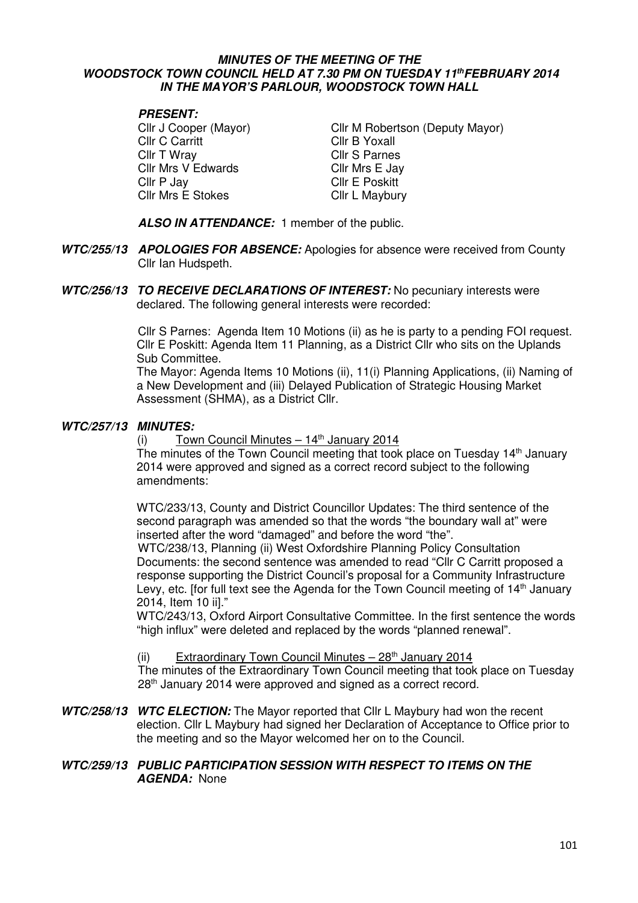### **MINUTES OF THE MEETING OF THE WOODSTOCK TOWN COUNCIL HELD AT 7.30 PM ON TUESDAY 11thFEBRUARY 2014 IN THE MAYOR'S PARLOUR, WOODSTOCK TOWN HALL**

#### **PRESENT:**

Cllr C Carritt Cllr B Yoxall Cllr T Wray Cllr S Parnes Cllr Mrs V Edwards<br>Cllr P Jay Cllr E Poskitt Cllr Mrs E Stokes Cllr L Maybury

Cllr J Cooper (Mayor) Cllr M Robertson (Deputy Mayor) Cllr E Poskitt

 **ALSO IN ATTENDANCE:** 1 member of the public.

- **WTC/255/13 APOLOGIES FOR ABSENCE:** Apologies for absence were received from County Cllr Ian Hudspeth.
- **WTC/256/13 TO RECEIVE DECLARATIONS OF INTEREST:** No pecuniary interests were declared. The following general interests were recorded:

 Cllr S Parnes: Agenda Item 10 Motions (ii) as he is party to a pending FOI request. Cllr E Poskitt: Agenda Item 11 Planning, as a District Cllr who sits on the Uplands Sub Committee.

 The Mayor: Agenda Items 10 Motions (ii), 11(i) Planning Applications, (ii) Naming of a New Development and (iii) Delayed Publication of Strategic Housing Market Assessment (SHMA), as a District Cllr.

# **WTC/257/13 MINUTES:**

(i) Town Council Minutes  $-14<sup>th</sup>$  January 2014

The minutes of the Town Council meeting that took place on Tuesday 14<sup>th</sup> January 2014 were approved and signed as a correct record subject to the following amendments:

 WTC/233/13, County and District Councillor Updates: The third sentence of the second paragraph was amended so that the words "the boundary wall at" were inserted after the word "damaged" and before the word "the".

 WTC/238/13, Planning (ii) West Oxfordshire Planning Policy Consultation Documents: the second sentence was amended to read "Cllr C Carritt proposed a response supporting the District Council's proposal for a Community Infrastructure Levy, etc. [for full text see the Agenda for the Town Council meeting of  $14<sup>th</sup>$  January 2014, Item 10 ii]."

WTC/243/13, Oxford Airport Consultative Committee. In the first sentence the words "high influx" were deleted and replaced by the words "planned renewal".

(ii) Extraordinary Town Council Minutes  $-28<sup>th</sup>$  January 2014 The minutes of the Extraordinary Town Council meeting that took place on Tuesday 28<sup>th</sup> January 2014 were approved and signed as a correct record.

**WTC/258/13 WTC ELECTION:** The Mayor reported that Cllr L Maybury had won the recent election. Cllr L Maybury had signed her Declaration of Acceptance to Office prior to the meeting and so the Mayor welcomed her on to the Council.

## **WTC/259/13 PUBLIC PARTICIPATION SESSION WITH RESPECT TO ITEMS ON THE AGENDA:** None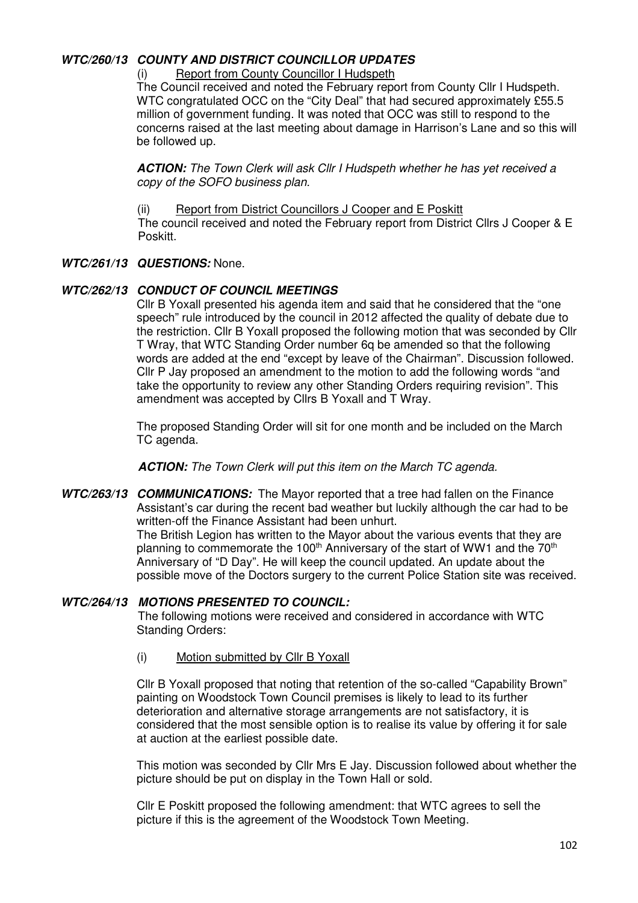# **WTC/260/13 COUNTY AND DISTRICT COUNCILLOR UPDATES**

### (i) Report from County Councillor I Hudspeth

The Council received and noted the February report from County Cllr I Hudspeth. WTC congratulated OCC on the "City Deal" that had secured approximately £55.5 million of government funding. It was noted that OCC was still to respond to the concerns raised at the last meeting about damage in Harrison's Lane and so this will be followed up.

**ACTION:** The Town Clerk will ask Cllr I Hudspeth whether he has yet received a copy of the SOFO business plan.

(ii) Report from District Councillors J Cooper and E Poskitt

The council received and noted the February report from District Cllrs J Cooper & E Poskitt.

# **WTC/261/13 QUESTIONS:** None.

## **WTC/262/13 CONDUCT OF COUNCIL MEETINGS**

Cllr B Yoxall presented his agenda item and said that he considered that the "one speech" rule introduced by the council in 2012 affected the quality of debate due to the restriction. Cllr B Yoxall proposed the following motion that was seconded by Cllr T Wray, that WTC Standing Order number 6q be amended so that the following words are added at the end "except by leave of the Chairman". Discussion followed. Cllr P Jay proposed an amendment to the motion to add the following words "and take the opportunity to review any other Standing Orders requiring revision". This amendment was accepted by Cllrs B Yoxall and T Wray.

 The proposed Standing Order will sit for one month and be included on the March TC agenda.

**ACTION:** The Town Clerk will put this item on the March TC agenda.

**WTC/263/13 COMMUNICATIONS:** The Mayor reported that a tree had fallen on the Finance Assistant's car during the recent bad weather but luckily although the car had to be written-off the Finance Assistant had been unhurt.

The British Legion has written to the Mayor about the various events that they are planning to commemorate the 100<sup>th</sup> Anniversary of the start of WW1 and the 70<sup>th</sup> Anniversary of "D Day". He will keep the council updated. An update about the possible move of the Doctors surgery to the current Police Station site was received.

## **WTC/264/13 MOTIONS PRESENTED TO COUNCIL:**

 The following motions were received and considered in accordance with WTC Standing Orders:

(i) Motion submitted by Cllr B Yoxall

Cllr B Yoxall proposed that noting that retention of the so-called "Capability Brown" painting on Woodstock Town Council premises is likely to lead to its further deterioration and alternative storage arrangements are not satisfactory, it is considered that the most sensible option is to realise its value by offering it for sale at auction at the earliest possible date.

This motion was seconded by Cllr Mrs E Jay. Discussion followed about whether the picture should be put on display in the Town Hall or sold.

Cllr E Poskitt proposed the following amendment: that WTC agrees to sell the picture if this is the agreement of the Woodstock Town Meeting.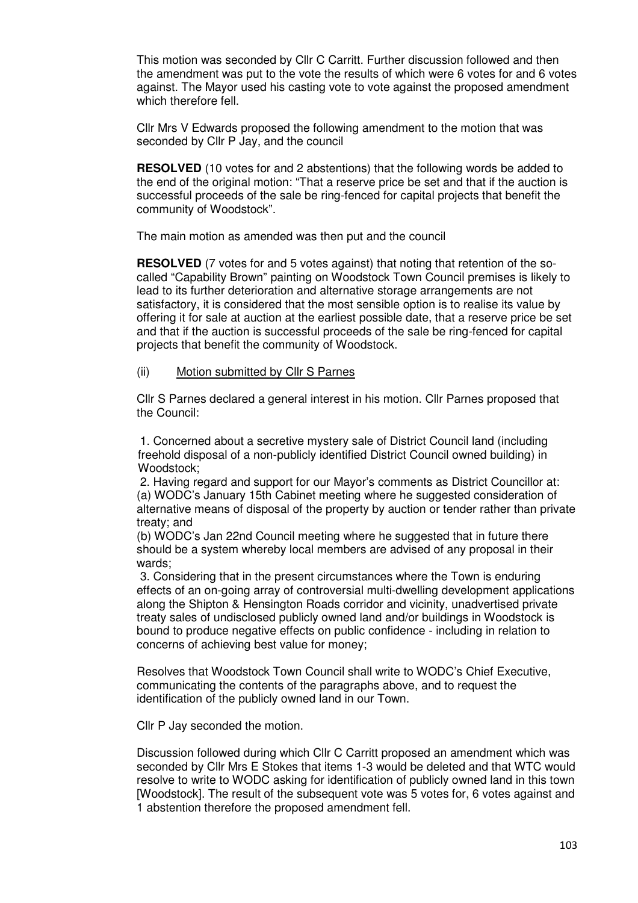This motion was seconded by Cllr C Carritt. Further discussion followed and then the amendment was put to the vote the results of which were 6 votes for and 6 votes against. The Mayor used his casting vote to vote against the proposed amendment which therefore fell.

Cllr Mrs V Edwards proposed the following amendment to the motion that was seconded by Cllr P Jay, and the council

**RESOLVED** (10 votes for and 2 abstentions) that the following words be added to the end of the original motion: "That a reserve price be set and that if the auction is successful proceeds of the sale be ring-fenced for capital projects that benefit the community of Woodstock".

The main motion as amended was then put and the council

**RESOLVED** (7 votes for and 5 votes against) that noting that retention of the socalled "Capability Brown" painting on Woodstock Town Council premises is likely to lead to its further deterioration and alternative storage arrangements are not satisfactory, it is considered that the most sensible option is to realise its value by offering it for sale at auction at the earliest possible date, that a reserve price be set and that if the auction is successful proceeds of the sale be ring-fenced for capital projects that benefit the community of Woodstock.

## (ii) Motion submitted by Cllr S Parnes

Cllr S Parnes declared a general interest in his motion. Cllr Parnes proposed that the Council:

 1. Concerned about a secretive mystery sale of District Council land (including freehold disposal of a non-publicly identified District Council owned building) in Woodstock;

 2. Having regard and support for our Mayor's comments as District Councillor at: (a) WODC's January 15th Cabinet meeting where he suggested consideration of alternative means of disposal of the property by auction or tender rather than private treaty; and

(b) WODC's Jan 22nd Council meeting where he suggested that in future there should be a system whereby local members are advised of any proposal in their wards;

 3. Considering that in the present circumstances where the Town is enduring effects of an on-going array of controversial multi-dwelling development applications along the Shipton & Hensington Roads corridor and vicinity, unadvertised private treaty sales of undisclosed publicly owned land and/or buildings in Woodstock is bound to produce negative effects on public confidence - including in relation to concerns of achieving best value for money;

Resolves that Woodstock Town Council shall write to WODC's Chief Executive, communicating the contents of the paragraphs above, and to request the identification of the publicly owned land in our Town.

Cllr P Jay seconded the motion.

 Discussion followed during which Cllr C Carritt proposed an amendment which was seconded by Cllr Mrs E Stokes that items 1-3 would be deleted and that WTC would resolve to write to WODC asking for identification of publicly owned land in this town [Woodstock]. The result of the subsequent vote was 5 votes for, 6 votes against and 1 abstention therefore the proposed amendment fell.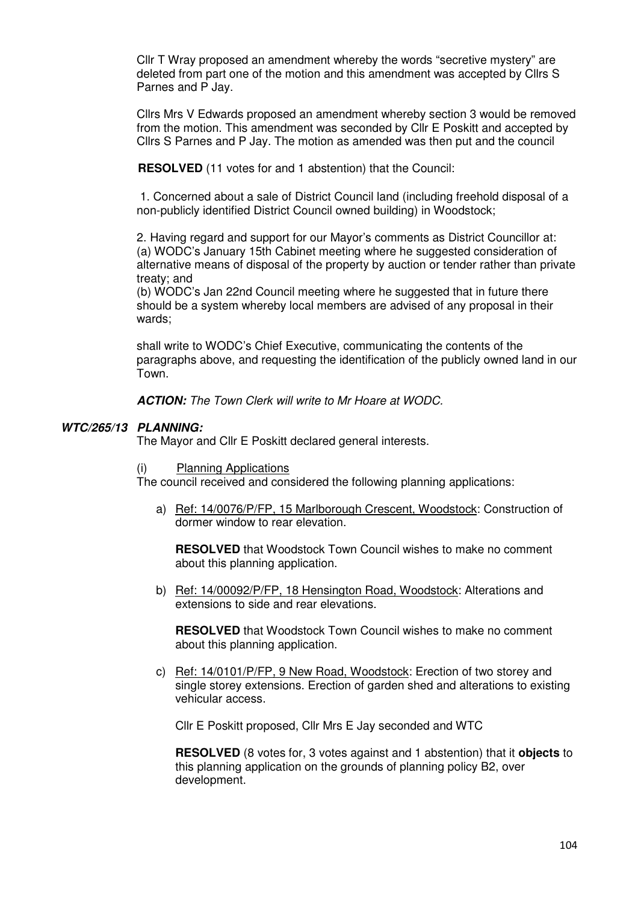Cllr T Wray proposed an amendment whereby the words "secretive mystery" are deleted from part one of the motion and this amendment was accepted by Cllrs S Parnes and P Jay.

 Cllrs Mrs V Edwards proposed an amendment whereby section 3 would be removed from the motion. This amendment was seconded by Cllr E Poskitt and accepted by Cllrs S Parnes and P Jay. The motion as amended was then put and the council

**RESOLVED** (11 votes for and 1 abstention) that the Council:

 1. Concerned about a sale of District Council land (including freehold disposal of a non-publicly identified District Council owned building) in Woodstock;

2. Having regard and support for our Mayor's comments as District Councillor at: (a) WODC's January 15th Cabinet meeting where he suggested consideration of alternative means of disposal of the property by auction or tender rather than private treaty; and

(b) WODC's Jan 22nd Council meeting where he suggested that in future there should be a system whereby local members are advised of any proposal in their wards;

shall write to WODC's Chief Executive, communicating the contents of the paragraphs above, and requesting the identification of the publicly owned land in our Town.

**ACTION:** The Town Clerk will write to Mr Hoare at WODC.

### **WTC/265/13 PLANNING:**

The Mayor and Cllr E Poskitt declared general interests.

(i) Planning Applications

The council received and considered the following planning applications:

a) Ref: 14/0076/P/FP, 15 Marlborough Crescent, Woodstock: Construction of dormer window to rear elevation.

**RESOLVED** that Woodstock Town Council wishes to make no comment about this planning application.

b) Ref: 14/00092/P/FP, 18 Hensington Road, Woodstock: Alterations and extensions to side and rear elevations.

**RESOLVED** that Woodstock Town Council wishes to make no comment about this planning application.

c) Ref: 14/0101/P/FP, 9 New Road, Woodstock: Erection of two storev and single storey extensions. Erection of garden shed and alterations to existing vehicular access.

Cllr E Poskitt proposed, Cllr Mrs E Jay seconded and WTC

**RESOLVED** (8 votes for, 3 votes against and 1 abstention) that it **objects** to this planning application on the grounds of planning policy B2, over development.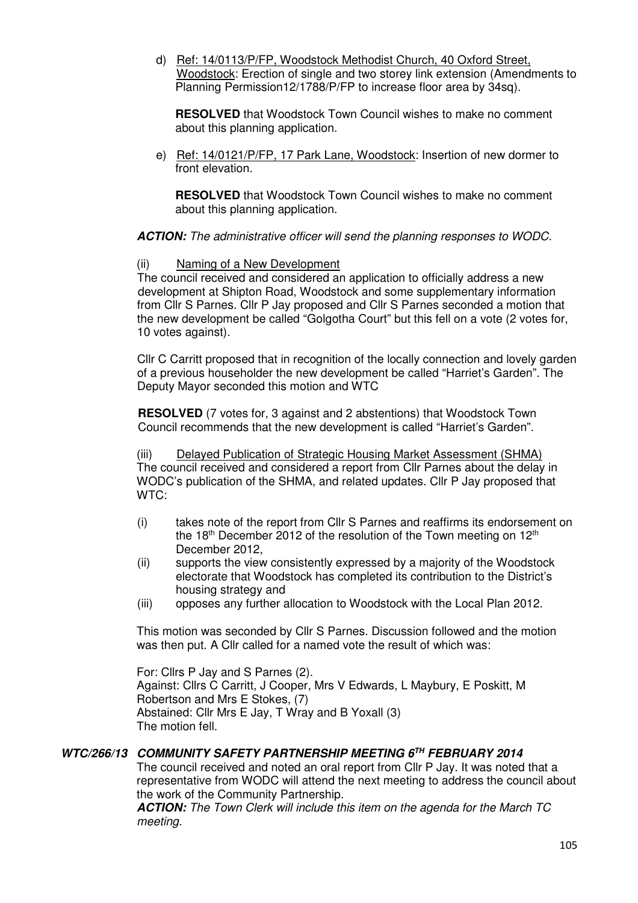d) Ref: 14/0113/P/FP, Woodstock Methodist Church, 40 Oxford Street, Woodstock: Erection of single and two storey link extension (Amendments to Planning Permission12/1788/P/FP to increase floor area by 34sq).

**RESOLVED** that Woodstock Town Council wishes to make no comment about this planning application.

e) Ref: 14/0121/P/FP, 17 Park Lane, Woodstock: Insertion of new dormer to front elevation.

**RESOLVED** that Woodstock Town Council wishes to make no comment about this planning application.

## **ACTION:** The administrative officer will send the planning responses to WODC.

## (ii) Naming of a New Development

The council received and considered an application to officially address a new development at Shipton Road, Woodstock and some supplementary information from Cllr S Parnes. Cllr P Jay proposed and Cllr S Parnes seconded a motion that the new development be called "Golgotha Court" but this fell on a vote (2 votes for, 10 votes against).

Cllr C Carritt proposed that in recognition of the locally connection and lovely garden of a previous householder the new development be called "Harriet's Garden". The Deputy Mayor seconded this motion and WTC

**RESOLVED** (7 votes for, 3 against and 2 abstentions) that Woodstock Town Council recommends that the new development is called "Harriet's Garden".

(iii) Delayed Publication of Strategic Housing Market Assessment (SHMA) The council received and considered a report from Cllr Parnes about the delay in WODC's publication of the SHMA, and related updates. Cllr P Jay proposed that WTC:

- (i) takes note of the report from Cllr S Parnes and reaffirms its endorsement on the 18<sup>th</sup> December 2012 of the resolution of the Town meeting on  $12<sup>th</sup>$ December 2012,
- (ii) supports the view consistently expressed by a majority of the Woodstock electorate that Woodstock has completed its contribution to the District's housing strategy and
- (iii) opposes any further allocation to Woodstock with the Local Plan 2012.

This motion was seconded by Cllr S Parnes. Discussion followed and the motion was then put. A Cllr called for a named vote the result of which was:

For: Cllrs P Jay and S Parnes (2). Against: Cllrs C Carritt, J Cooper, Mrs V Edwards, L Maybury, E Poskitt, M Robertson and Mrs E Stokes, (7) Abstained: Cllr Mrs E Jay, T Wray and B Yoxall (3) The motion fell.

# **WTC/266/13 COMMUNITY SAFETY PARTNERSHIP MEETING 6TH FEBRUARY 2014**

The council received and noted an oral report from Cllr P Jay. It was noted that a representative from WODC will attend the next meeting to address the council about the work of the Community Partnership.

**ACTION:** The Town Clerk will include this item on the agenda for the March TC meeting.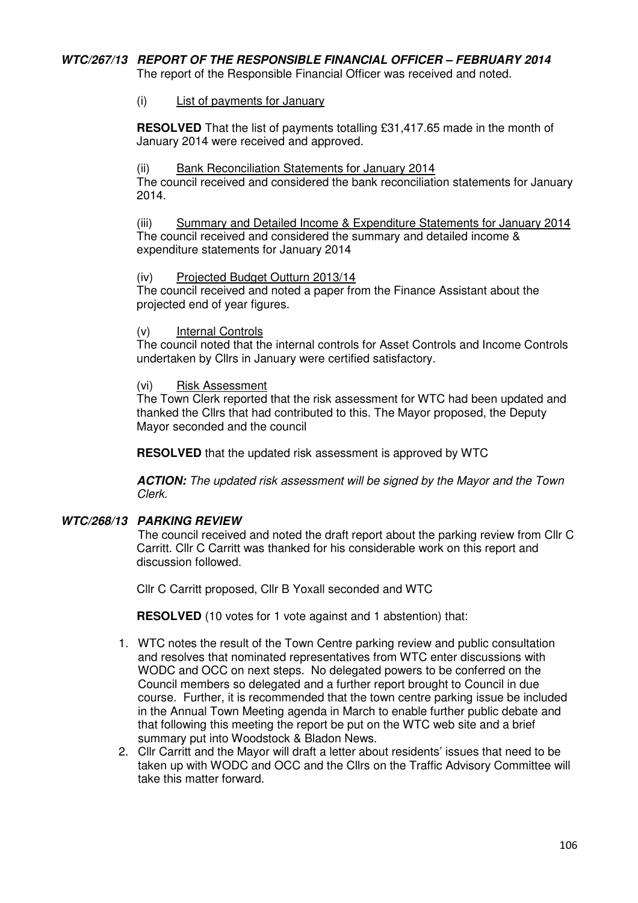# **WTC/267/13 REPORT OF THE RESPONSIBLE FINANCIAL OFFICER – FEBRUARY 2014**

The report of the Responsible Financial Officer was received and noted.

## (i) List of payments for January

**RESOLVED** That the list of payments totalling £31,417.65 made in the month of January 2014 were received and approved.

#### (ii) Bank Reconciliation Statements for January 2014

The council received and considered the bank reconciliation statements for January 2014.

(iii) Summary and Detailed Income & Expenditure Statements for January 2014 The council received and considered the summary and detailed income & expenditure statements for January 2014

## (iv) Projected Budget Outturn 2013/14

The council received and noted a paper from the Finance Assistant about the projected end of year figures.

### (v) Internal Controls

The council noted that the internal controls for Asset Controls and Income Controls undertaken by Cllrs in January were certified satisfactory.

### (vi) Risk Assessment

The Town Clerk reported that the risk assessment for WTC had been updated and thanked the Cllrs that had contributed to this. The Mayor proposed, the Deputy Mayor seconded and the council

**RESOLVED** that the updated risk assessment is approved by WTC

**ACTION:** The updated risk assessment will be signed by the Mayor and the Town Clerk.

## **WTC/268/13 PARKING REVIEW**

The council received and noted the draft report about the parking review from Cllr C Carritt. Cllr C Carritt was thanked for his considerable work on this report and discussion followed.

Cllr C Carritt proposed, Cllr B Yoxall seconded and WTC

**RESOLVED** (10 votes for 1 vote against and 1 abstention) that:

- 1. WTC notes the result of the Town Centre parking review and public consultation and resolves that nominated representatives from WTC enter discussions with WODC and OCC on next steps. No delegated powers to be conferred on the Council members so delegated and a further report brought to Council in due course. Further, it is recommended that the town centre parking issue be included in the Annual Town Meeting agenda in March to enable further public debate and that following this meeting the report be put on the WTC web site and a brief summary put into Woodstock & Bladon News.
- 2. Cllr Carritt and the Mayor will draft a letter about residents' issues that need to be taken up with WODC and OCC and the Cllrs on the Traffic Advisory Committee will take this matter forward.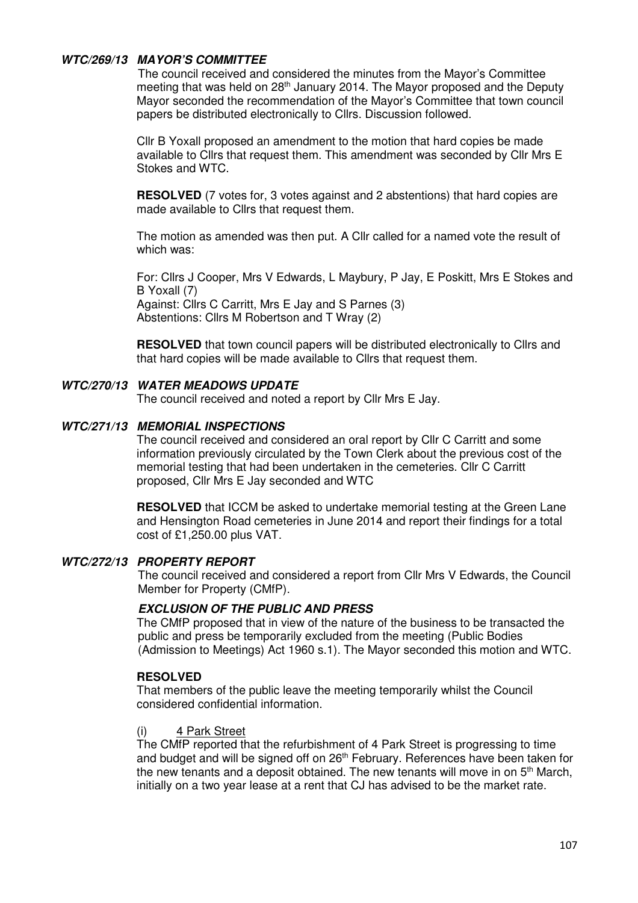# **WTC/269/13 MAYOR'S COMMITTEE**

The council received and considered the minutes from the Mayor's Committee meeting that was held on 28<sup>th</sup> January 2014. The Mayor proposed and the Deputy Mayor seconded the recommendation of the Mayor's Committee that town council papers be distributed electronically to Cllrs. Discussion followed.

Cllr B Yoxall proposed an amendment to the motion that hard copies be made available to Cllrs that request them. This amendment was seconded by Cllr Mrs E Stokes and WTC.

**RESOLVED** (7 votes for, 3 votes against and 2 abstentions) that hard copies are made available to Cllrs that request them.

 The motion as amended was then put. A Cllr called for a named vote the result of which was:

 For: Cllrs J Cooper, Mrs V Edwards, L Maybury, P Jay, E Poskitt, Mrs E Stokes and B Yoxall (7) Against: Cllrs C Carritt, Mrs E Jay and S Parnes (3) Abstentions: Cllrs M Robertson and T Wray (2)

**RESOLVED** that town council papers will be distributed electronically to Cllrs and that hard copies will be made available to Cllrs that request them.

### **WTC/270/13 WATER MEADOWS UPDATE**

The council received and noted a report by Cllr Mrs E Jay.

### **WTC/271/13 MEMORIAL INSPECTIONS**

The council received and considered an oral report by Cllr C Carritt and some information previously circulated by the Town Clerk about the previous cost of the memorial testing that had been undertaken in the cemeteries. Cllr C Carritt proposed, Cllr Mrs E Jay seconded and WTC

**RESOLVED** that ICCM be asked to undertake memorial testing at the Green Lane and Hensington Road cemeteries in June 2014 and report their findings for a total cost of £1,250.00 plus VAT.

### **WTC/272/13 PROPERTY REPORT**

The council received and considered a report from Cllr Mrs V Edwards, the Council Member for Property (CMfP).

### **EXCLUSION OF THE PUBLIC AND PRESS**

The CMfP proposed that in view of the nature of the business to be transacted the public and press be temporarily excluded from the meeting (Public Bodies (Admission to Meetings) Act 1960 s.1). The Mayor seconded this motion and WTC.

#### **RESOLVED**

That members of the public leave the meeting temporarily whilst the Council considered confidential information.

#### (i) 4 Park Street

The CMfP reported that the refurbishment of 4 Park Street is progressing to time and budget and will be signed off on 26<sup>th</sup> February. References have been taken for the new tenants and a deposit obtained. The new tenants will move in on  $5<sup>th</sup>$  March, initially on a two year lease at a rent that CJ has advised to be the market rate.